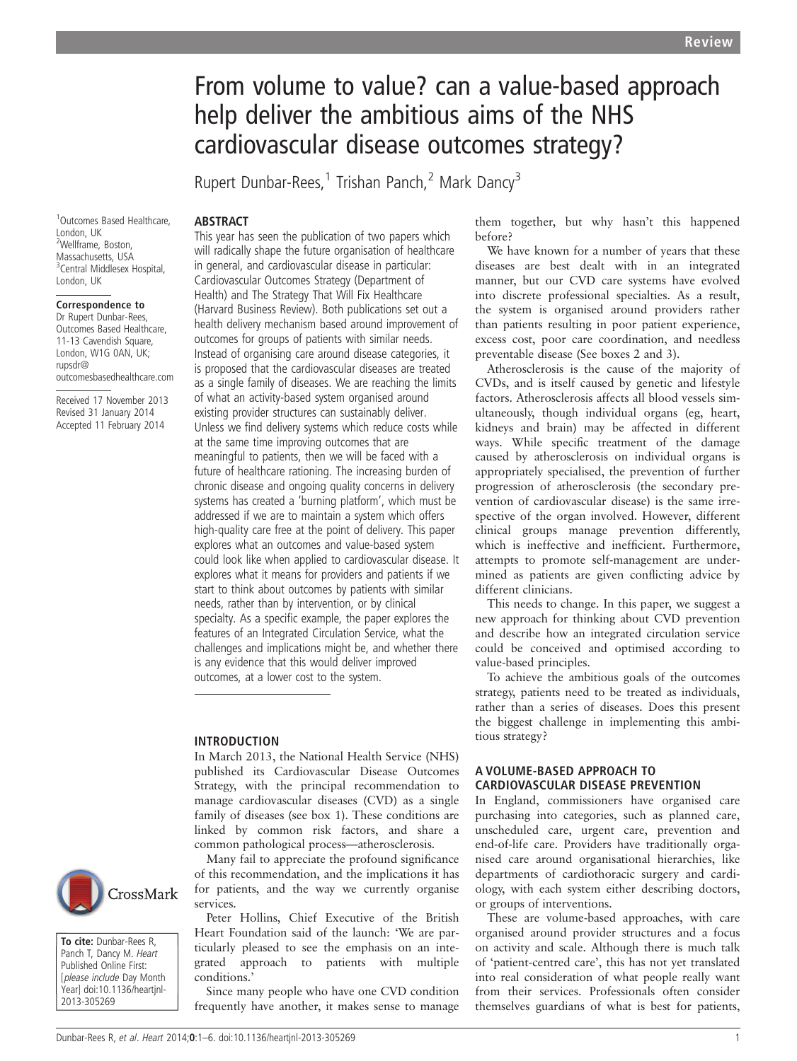# From volume to value? can a value-based approach help deliver the ambitious aims of the NHS cardiovascular disease outcomes strategy?

Rupert Dunbar-Rees,<sup>1</sup> Trishan Panch,<sup>2</sup> Mark Dancy<sup>3</sup>

ABSTRACT

1 Outcomes Based Healthcare, London, UK 2 Wellframe, Boston, Massachusetts, USA <sup>3</sup> Central Middlesex Hospital, London, UK

#### Correspondence to

Dr Rupert Dunbar-Rees, Outcomes Based Healthcare, 11-13 Cavendish Square, London, W1G 0AN, UK; rupsdr@ outcomesbasedhealthcare.com

Received 17 November 2013 Revised 31 January 2014 Accepted 11 February 2014



To cite: Dunbar-Rees R, Panch T, Dancy M. Heart Published Online First: [please include Day Month Year] doi:10.1136/heartjnl-2013-305269

This year has seen the publication of two papers which

will radically shape the future organisation of healthcare in general, and cardiovascular disease in particular: Cardiovascular Outcomes Strategy (Department of Health) and The Strategy That Will Fix Healthcare (Harvard Business Review). Both publications set out a health delivery mechanism based around improvement of outcomes for groups of patients with similar needs. Instead of organising care around disease categories, it is proposed that the cardiovascular diseases are treated as a single family of diseases. We are reaching the limits of what an activity-based system organised around existing provider structures can sustainably deliver. Unless we find delivery systems which reduce costs while at the same time improving outcomes that are meaningful to patients, then we will be faced with a future of healthcare rationing. The increasing burden of chronic disease and ongoing quality concerns in delivery systems has created a 'burning platform', which must be addressed if we are to maintain a system which offers high-quality care free at the point of delivery. This paper explores what an outcomes and value-based system could look like when applied to cardiovascular disease. It explores what it means for providers and patients if we start to think about outcomes by patients with similar needs, rather than by intervention, or by clinical specialty. As a specific example, the paper explores the features of an Integrated Circulation Service, what the challenges and implications might be, and whether there is any evidence that this would deliver improved outcomes, at a lower cost to the system.

#### INTRODUCTION

In March 2013, the National Health Service (NHS) published its Cardiovascular Disease Outcomes Strategy, with the principal recommendation to manage cardiovascular diseases (CVD) as a single family of diseases (see box 1). These conditions are linked by common risk factors, and share a common pathological process—atherosclerosis.

Many fail to appreciate the profound significance of this recommendation, and the implications it has for patients, and the way we currently organise services.

Peter Hollins, Chief Executive of the British Heart Foundation said of the launch: 'We are particularly pleased to see the emphasis on an integrated approach to patients with multiple conditions.'

Since many people who have one CVD condition frequently have another, it makes sense to manage them together, but why hasn't this happened before?

We have known for a number of years that these diseases are best dealt with in an integrated manner, but our CVD care systems have evolved into discrete professional specialties. As a result, the system is organised around providers rather than patients resulting in poor patient experience, excess cost, poor care coordination, and needless preventable disease (See boxes 2 and 3).

Atherosclerosis is the cause of the majority of CVDs, and is itself caused by genetic and lifestyle factors. Atherosclerosis affects all blood vessels simultaneously, though individual organs (eg, heart, kidneys and brain) may be affected in different ways. While specific treatment of the damage caused by atherosclerosis on individual organs is appropriately specialised, the prevention of further progression of atherosclerosis (the secondary prevention of cardiovascular disease) is the same irrespective of the organ involved. However, different clinical groups manage prevention differently, which is ineffective and inefficient. Furthermore, attempts to promote self-management are undermined as patients are given conflicting advice by different clinicians.

This needs to change. In this paper, we suggest a new approach for thinking about CVD prevention and describe how an integrated circulation service could be conceived and optimised according to value-based principles.

To achieve the ambitious goals of the outcomes strategy, patients need to be treated as individuals, rather than a series of diseases. Does this present the biggest challenge in implementing this ambitious strategy?

# A VOLUME-BASED APPROACH TO CARDIOVASCULAR DISEASE PREVENTION

In England, commissioners have organised care purchasing into categories, such as planned care, unscheduled care, urgent care, prevention and end-of-life care. Providers have traditionally organised care around organisational hierarchies, like departments of cardiothoracic surgery and cardiology, with each system either describing doctors, or groups of interventions.

These are volume-based approaches, with care organised around provider structures and a focus on activity and scale. Although there is much talk of 'patient-centred care', this has not yet translated into real consideration of what people really want from their services. Professionals often consider themselves guardians of what is best for patients,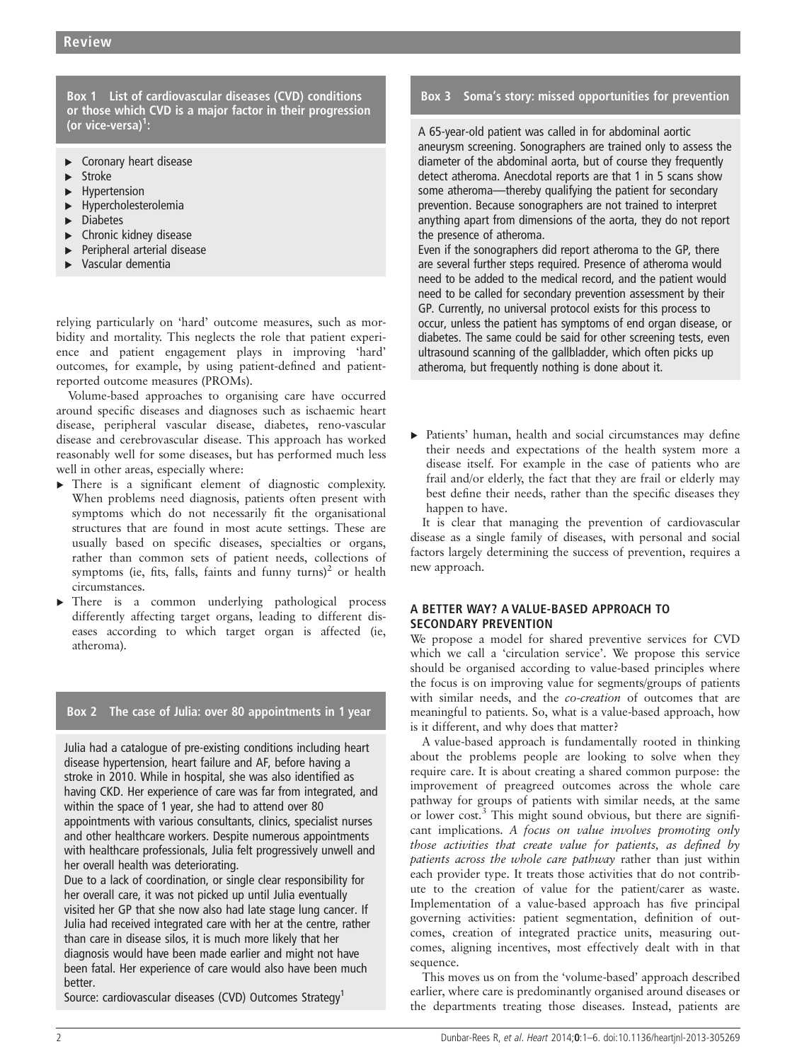Box 1 List of cardiovascular diseases (CVD) conditions or those which CVD is a major factor in their progression (or vice-versa) $^1$ :

- ► Coronary heart disease
- **Stroke**
- **Hypertension**
- ▸ Hypercholesterolemia
- ▸ Diabetes
- ▸ Chronic kidney disease
- Peripheral arterial disease
- ▸ Vascular dementia

relying particularly on 'hard' outcome measures, such as morbidity and mortality. This neglects the role that patient experience and patient engagement plays in improving 'hard' outcomes, for example, by using patient-defined and patientreported outcome measures (PROMs).

Volume-based approaches to organising care have occurred around specific diseases and diagnoses such as ischaemic heart disease, peripheral vascular disease, diabetes, reno-vascular disease and cerebrovascular disease. This approach has worked reasonably well for some diseases, but has performed much less well in other areas, especially where:

- ▸ There is a significant element of diagnostic complexity. When problems need diagnosis, patients often present with symptoms which do not necessarily fit the organisational structures that are found in most acute settings. These are usually based on specific diseases, specialties or organs, rather than common sets of patient needs, collections of symptoms (ie, fits, falls, faints and funny turns)<sup>2</sup> or health circumstances.
- There is a common underlying pathological process differently affecting target organs, leading to different diseases according to which target organ is affected (ie, atheroma).

# Box 2 The case of Julia: over 80 appointments in 1 year

Julia had a catalogue of pre-existing conditions including heart disease hypertension, heart failure and AF, before having a stroke in 2010. While in hospital, she was also identified as having CKD. Her experience of care was far from integrated, and within the space of 1 year, she had to attend over 80 appointments with various consultants, clinics, specialist nurses and other healthcare workers. Despite numerous appointments with healthcare professionals, Julia felt progressively unwell and her overall health was deteriorating.

Due to a lack of coordination, or single clear responsibility for her overall care, it was not picked up until Julia eventually visited her GP that she now also had late stage lung cancer. If Julia had received integrated care with her at the centre, rather than care in disease silos, it is much more likely that her diagnosis would have been made earlier and might not have been fatal. Her experience of care would also have been much better.

Source: cardiovascular diseases (CVD) Outcomes Strategy<sup>1</sup>

# Box 3 Soma's story: missed opportunities for prevention

A 65-year-old patient was called in for abdominal aortic aneurysm screening. Sonographers are trained only to assess the diameter of the abdominal aorta, but of course they frequently detect atheroma. Anecdotal reports are that 1 in 5 scans show some atheroma—thereby qualifying the patient for secondary prevention. Because sonographers are not trained to interpret anything apart from dimensions of the aorta, they do not report the presence of atheroma.

Even if the sonographers did report atheroma to the GP, there are several further steps required. Presence of atheroma would need to be added to the medical record, and the patient would need to be called for secondary prevention assessment by their GP. Currently, no universal protocol exists for this process to occur, unless the patient has symptoms of end organ disease, or diabetes. The same could be said for other screening tests, even ultrasound scanning of the gallbladder, which often picks up atheroma, but frequently nothing is done about it.

▸ Patients' human, health and social circumstances may define their needs and expectations of the health system more a disease itself. For example in the case of patients who are frail and/or elderly, the fact that they are frail or elderly may best define their needs, rather than the specific diseases they happen to have.

It is clear that managing the prevention of cardiovascular disease as a single family of diseases, with personal and social factors largely determining the success of prevention, requires a new approach.

# A BETTER WAY? A VALUE-BASED APPROACH TO SECONDARY PREVENTION

We propose a model for shared preventive services for CVD which we call a 'circulation service'. We propose this service should be organised according to value-based principles where the focus is on improving value for segments/groups of patients with similar needs, and the co-creation of outcomes that are meaningful to patients. So, what is a value-based approach, how is it different, and why does that matter?

A value-based approach is fundamentally rooted in thinking about the problems people are looking to solve when they require care. It is about creating a shared common purpose: the improvement of preagreed outcomes across the whole care pathway for groups of patients with similar needs, at the same or lower cost.<sup>3</sup> This might sound obvious, but there are significant implications. A focus on value involves promoting only those activities that create value for patients, as defined by patients across the whole care pathway rather than just within each provider type. It treats those activities that do not contribute to the creation of value for the patient/carer as waste. Implementation of a value-based approach has five principal governing activities: patient segmentation, definition of outcomes, creation of integrated practice units, measuring outcomes, aligning incentives, most effectively dealt with in that sequence.

This moves us on from the 'volume-based' approach described earlier, where care is predominantly organised around diseases or the departments treating those diseases. Instead, patients are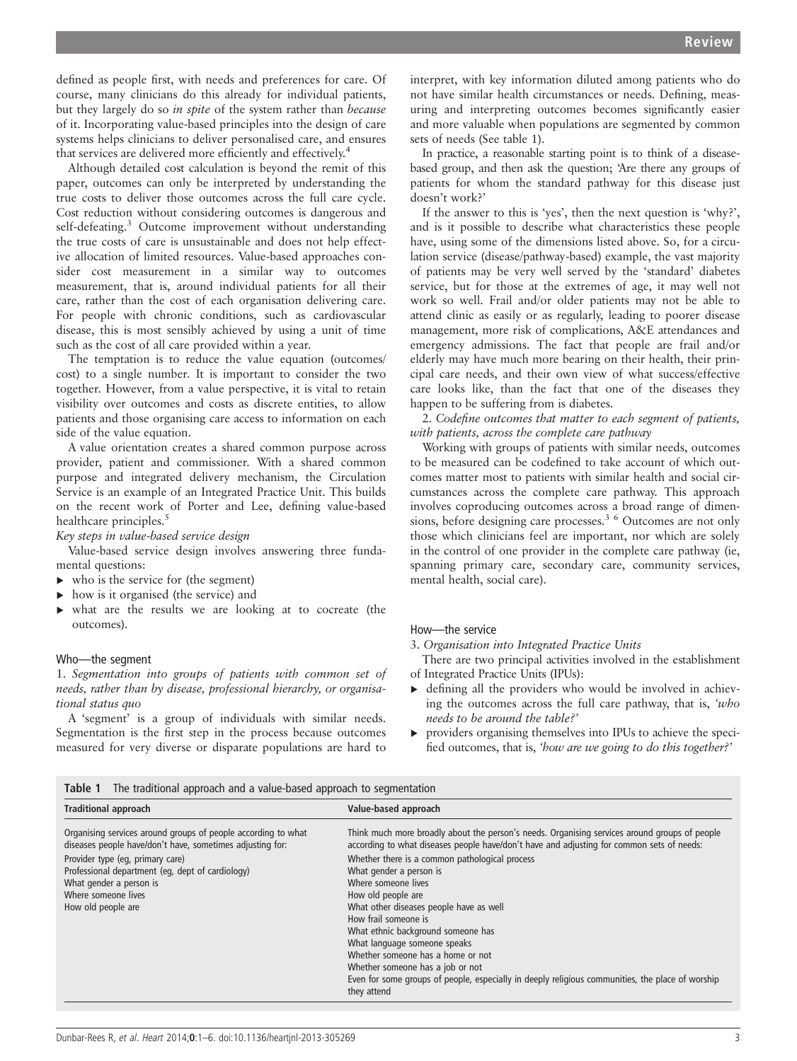defined as people first, with needs and preferences for care. Of course, many clinicians do this already for individual patients, but they largely do so in spite of the system rather than because of it. Incorporating value-based principles into the design of care systems helps clinicians to deliver personalised care, and ensures that services are delivered more efficiently and effectively.<sup>4</sup>

Although detailed cost calculation is beyond the remit of this paper, outcomes can only be interpreted by understanding the true costs to deliver those outcomes across the full care cycle. Cost reduction without considering outcomes is dangerous and self-defeating.<sup>3</sup> Outcome improvement without understanding the true costs of care is unsustainable and does not help effective allocation of limited resources. Value-based approaches consider cost measurement in a similar way to outcomes measurement, that is, around individual patients for all their care, rather than the cost of each organisation delivering care. For people with chronic conditions, such as cardiovascular disease, this is most sensibly achieved by using a unit of time such as the cost of all care provided within a year.

The temptation is to reduce the value equation (outcomes/ cost) to a single number. It is important to consider the two together. However, from a value perspective, it is vital to retain visibility over outcomes and costs as discrete entities, to allow patients and those organising care access to information on each side of the value equation.

A value orientation creates a shared common purpose across provider, patient and commissioner. With a shared common purpose and integrated delivery mechanism, the Circulation Service is an example of an Integrated Practice Unit. This builds on the recent work of Porter and Lee, defining value-based healthcare principles.<sup>5</sup>

Key steps in value-based service design

Value-based service design involves answering three fundamental questions:

- ▸ who is the service for (the segment)
- ▸ how is it organised (the service) and
- ▸ what are the results we are looking at to cocreate (the outcomes).

#### Who—the segment

1. Segmentation into groups of patients with common set of needs, rather than by disease, professional hierarchy, or organisational status quo

A 'segment' is a group of individuals with similar needs. Segmentation is the first step in the process because outcomes measured for very diverse or disparate populations are hard to

interpret, with key information diluted among patients who do not have similar health circumstances or needs. Defining, measuring and interpreting outcomes becomes significantly easier and more valuable when populations are segmented by common sets of needs (See table 1).

In practice, a reasonable starting point is to think of a diseasebased group, and then ask the question; 'Are there any groups of patients for whom the standard pathway for this disease just doesn't work?'

If the answer to this is 'yes', then the next question is 'why?', and is it possible to describe what characteristics these people have, using some of the dimensions listed above. So, for a circulation service (disease/pathway-based) example, the vast majority of patients may be very well served by the 'standard' diabetes service, but for those at the extremes of age, it may well not work so well. Frail and/or older patients may not be able to attend clinic as easily or as regularly, leading to poorer disease management, more risk of complications, A&E attendances and emergency admissions. The fact that people are frail and/or elderly may have much more bearing on their health, their principal care needs, and their own view of what success/effective care looks like, than the fact that one of the diseases they happen to be suffering from is diabetes.

2. Codefine outcomes that matter to each segment of patients, with patients, across the complete care pathway

Working with groups of patients with similar needs, outcomes to be measured can be codefined to take account of which outcomes matter most to patients with similar health and social circumstances across the complete care pathway. This approach involves coproducing outcomes across a broad range of dimensions, before designing care processes.<sup>3 6</sup> Outcomes are not only those which clinicians feel are important, nor which are solely in the control of one provider in the complete care pathway (ie, spanning primary care, secondary care, community services, mental health, social care).

#### How—the service

3. Organisation into Integrated Practice Units

- There are two principal activities involved in the establishment of Integrated Practice Units (IPUs):
- $\triangleright$  defining all the providers who would be involved in achieving the outcomes across the full care pathway, that is, 'who needs to be around the table?'
- ▸ providers organising themselves into IPUs to achieve the specified outcomes, that is, 'how are we going to do this together?'

| Table 1 | The traditional approach and a value-based approach to segmentation |
|---------|---------------------------------------------------------------------|
|         |                                                                     |

| <b>Traditional approach</b>                                                                                                                                  | Value-based approach                                                                                                                                                                                                                                                                                                                                                                                                                                        |
|--------------------------------------------------------------------------------------------------------------------------------------------------------------|-------------------------------------------------------------------------------------------------------------------------------------------------------------------------------------------------------------------------------------------------------------------------------------------------------------------------------------------------------------------------------------------------------------------------------------------------------------|
| Organising services around groups of people according to what<br>diseases people have/don't have, sometimes adjusting for:                                   | Think much more broadly about the person's needs. Organising services around groups of people<br>according to what diseases people have/don't have and adjusting for common sets of needs:                                                                                                                                                                                                                                                                  |
| Provider type (eq, primary care)<br>Professional department (eq. dept of cardiology)<br>What gender a person is<br>Where someone lives<br>How old people are | Whether there is a common pathological process<br>What gender a person is<br>Where someone lives<br>How old people are<br>What other diseases people have as well<br>How frail someone is<br>What ethnic background someone has<br>What language someone speaks<br>Whether someone has a home or not<br>Whether someone has a job or not<br>Even for some groups of people, especially in deeply religious communities, the place of worship<br>they attend |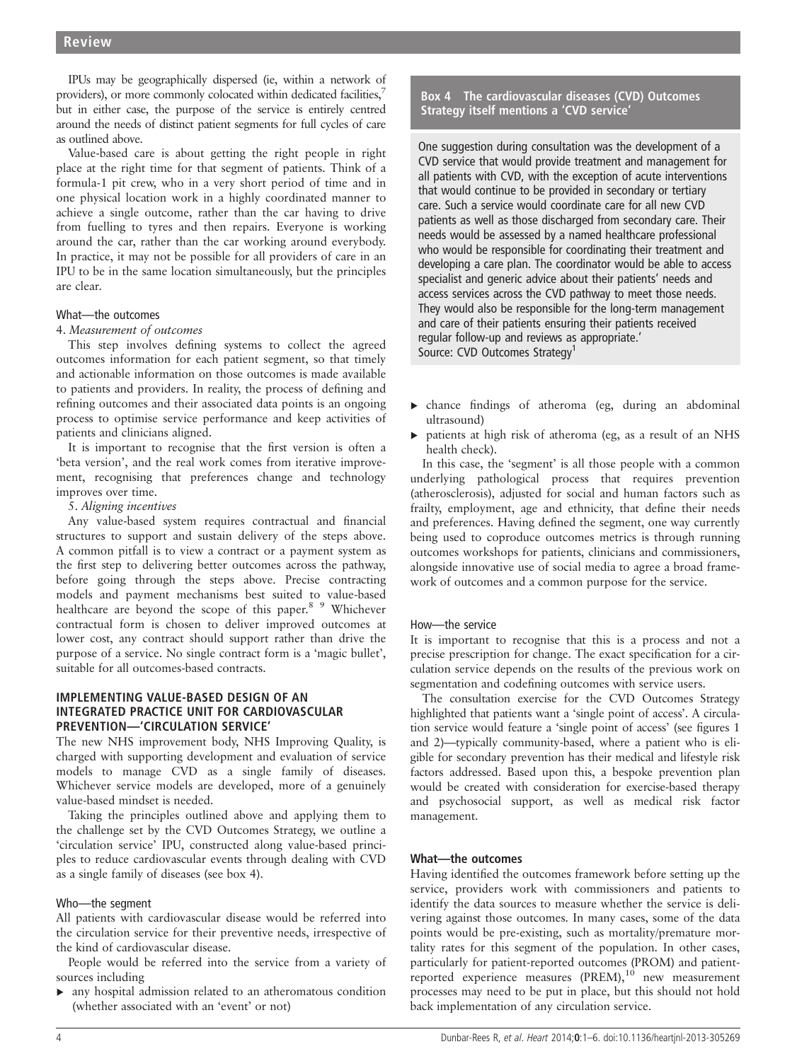IPUs may be geographically dispersed (ie, within a network of providers), or more commonly colocated within dedicated facilities,<sup>7</sup> but in either case, the purpose of the service is entirely centred around the needs of distinct patient segments for full cycles of care as outlined above.

Value-based care is about getting the right people in right place at the right time for that segment of patients. Think of a formula-1 pit crew, who in a very short period of time and in one physical location work in a highly coordinated manner to achieve a single outcome, rather than the car having to drive from fuelling to tyres and then repairs. Everyone is working around the car, rather than the car working around everybody. In practice, it may not be possible for all providers of care in an IPU to be in the same location simultaneously, but the principles are clear.

# What—the outcomes

## 4. Measurement of outcomes

This step involves defining systems to collect the agreed outcomes information for each patient segment, so that timely and actionable information on those outcomes is made available to patients and providers. In reality, the process of defining and refining outcomes and their associated data points is an ongoing process to optimise service performance and keep activities of patients and clinicians aligned.

It is important to recognise that the first version is often a 'beta version', and the real work comes from iterative improvement, recognising that preferences change and technology improves over time.

## 5. Aligning incentives

Any value-based system requires contractual and financial structures to support and sustain delivery of the steps above. A common pitfall is to view a contract or a payment system as the first step to delivering better outcomes across the pathway, before going through the steps above. Precise contracting models and payment mechanisms best suited to value-based healthcare are beyond the scope of this paper.<sup>8</sup> 9 Whichever contractual form is chosen to deliver improved outcomes at lower cost, any contract should support rather than drive the purpose of a service. No single contract form is a 'magic bullet', suitable for all outcomes-based contracts.

# IMPLEMENTING VALUE-BASED DESIGN OF AN INTEGRATED PRACTICE UNIT FOR CARDIOVASCULAR PREVENTION—'CIRCULATION SERVICE'

The new NHS improvement body, NHS Improving Quality, is charged with supporting development and evaluation of service models to manage CVD as a single family of diseases. Whichever service models are developed, more of a genuinely value-based mindset is needed.

Taking the principles outlined above and applying them to the challenge set by the CVD Outcomes Strategy, we outline a 'circulation service' IPU, constructed along value-based principles to reduce cardiovascular events through dealing with CVD as a single family of diseases (see box 4).

# Who—the segment

All patients with cardiovascular disease would be referred into the circulation service for their preventive needs, irrespective of the kind of cardiovascular disease.

People would be referred into the service from a variety of sources including

▸ any hospital admission related to an atheromatous condition (whether associated with an 'event' or not)

# Box 4 The cardiovascular diseases (CVD) Outcomes Strategy itself mentions a 'CVD service'

One suggestion during consultation was the development of a CVD service that would provide treatment and management for all patients with CVD, with the exception of acute interventions that would continue to be provided in secondary or tertiary care. Such a service would coordinate care for all new CVD patients as well as those discharged from secondary care. Their needs would be assessed by a named healthcare professional who would be responsible for coordinating their treatment and developing a care plan. The coordinator would be able to access specialist and generic advice about their patients' needs and access services across the CVD pathway to meet those needs. They would also be responsible for the long-term management and care of their patients ensuring their patients received regular follow-up and reviews as appropriate.' Source: CVD Outcomes Strategy<sup>1</sup>

▸ chance findings of atheroma (eg, during an abdominal ultrasound)

▸ patients at high risk of atheroma (eg, as a result of an NHS health check).

In this case, the 'segment' is all those people with a common underlying pathological process that requires prevention (atherosclerosis), adjusted for social and human factors such as frailty, employment, age and ethnicity, that define their needs and preferences. Having defined the segment, one way currently being used to coproduce outcomes metrics is through running outcomes workshops for patients, clinicians and commissioners, alongside innovative use of social media to agree a broad framework of outcomes and a common purpose for the service.

### How—the service

It is important to recognise that this is a process and not a precise prescription for change. The exact specification for a circulation service depends on the results of the previous work on segmentation and codefining outcomes with service users.

The consultation exercise for the CVD Outcomes Strategy highlighted that patients want a 'single point of access'. A circulation service would feature a 'single point of access' (see figures 1 and 2)—typically community-based, where a patient who is eligible for secondary prevention has their medical and lifestyle risk factors addressed. Based upon this, a bespoke prevention plan would be created with consideration for exercise-based therapy and psychosocial support, as well as medical risk factor management.

# What—the outcomes

Having identified the outcomes framework before setting up the service, providers work with commissioners and patients to identify the data sources to measure whether the service is delivering against those outcomes. In many cases, some of the data points would be pre-existing, such as mortality/premature mortality rates for this segment of the population. In other cases, particularly for patient-reported outcomes (PROM) and patientreported experience measures (PREM),<sup>10</sup> new measurement processes may need to be put in place, but this should not hold back implementation of any circulation service.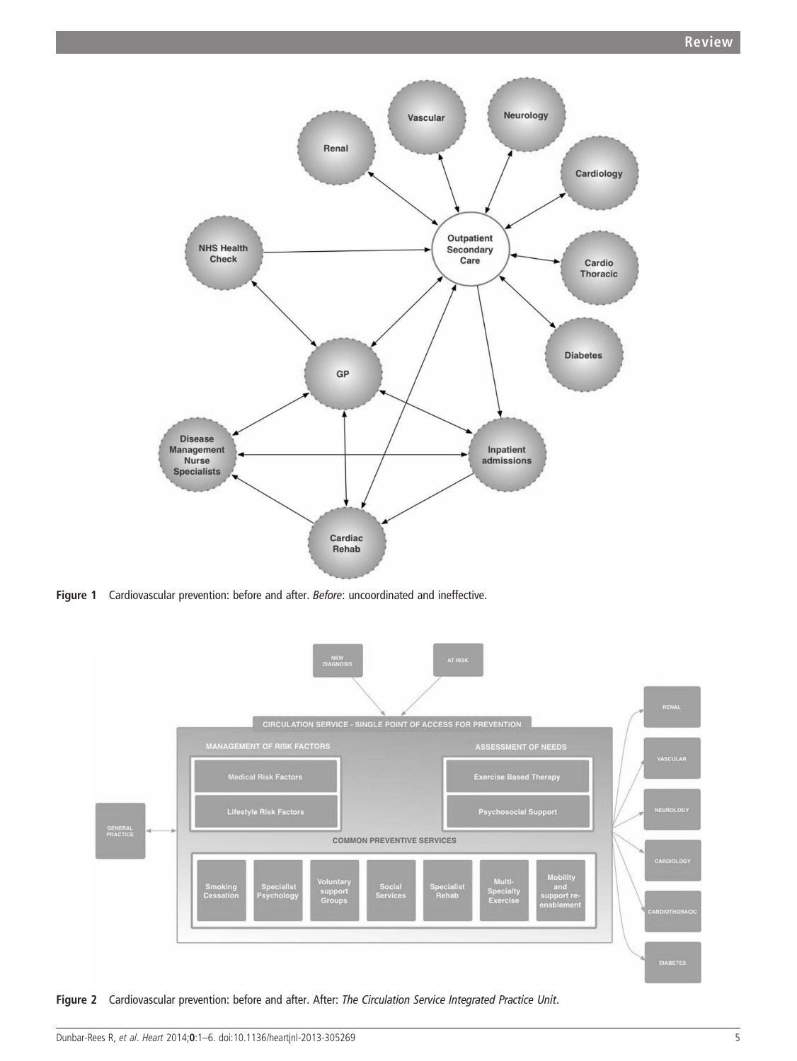

Figure 1 Cardiovascular prevention: before and after. Before: uncoordinated and ineffective.



Figure 2 Cardiovascular prevention: before and after. After: The Circulation Service Integrated Practice Unit.